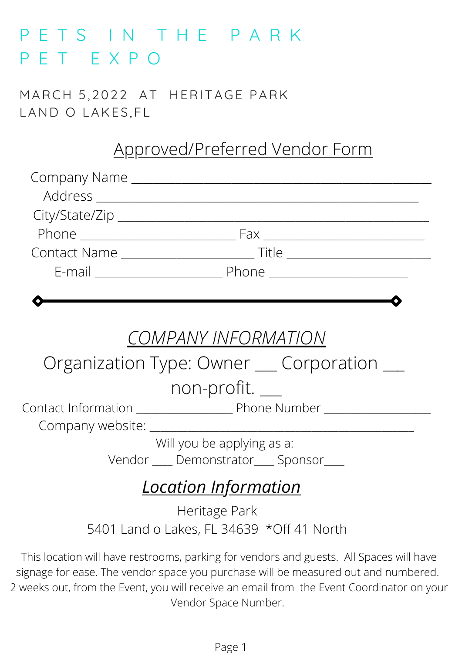## P E T S I N T H E P A R K P E T E X P O

M ARCH 5 ,2022 AT HERITAGE PARK LAND O LAKES,FL

## Approved/Preferred Vendor Form

| COMPANY INFORMATION                        |  |  |
|--------------------------------------------|--|--|
| Organization Type: Owner __ Corporation __ |  |  |
| non-profit. __                             |  |  |
|                                            |  |  |
|                                            |  |  |
| Will you be applying as a:                 |  |  |
| Vendor ____ Demonstrator____ Sponsor____   |  |  |
| <u>Location Information</u>                |  |  |
| Heritage Park                              |  |  |
| 5401 Land o Lakes, FL 34639 *Off 41 North  |  |  |
|                                            |  |  |

This location will have restrooms, parking for vendors and guests. All Spaces will have signage for ease. The vendor space you purchase will be measured out and numbered. 2 weeks out, from the Event, you will receive an email from the Event Coordinator on your Vendor Space Number.